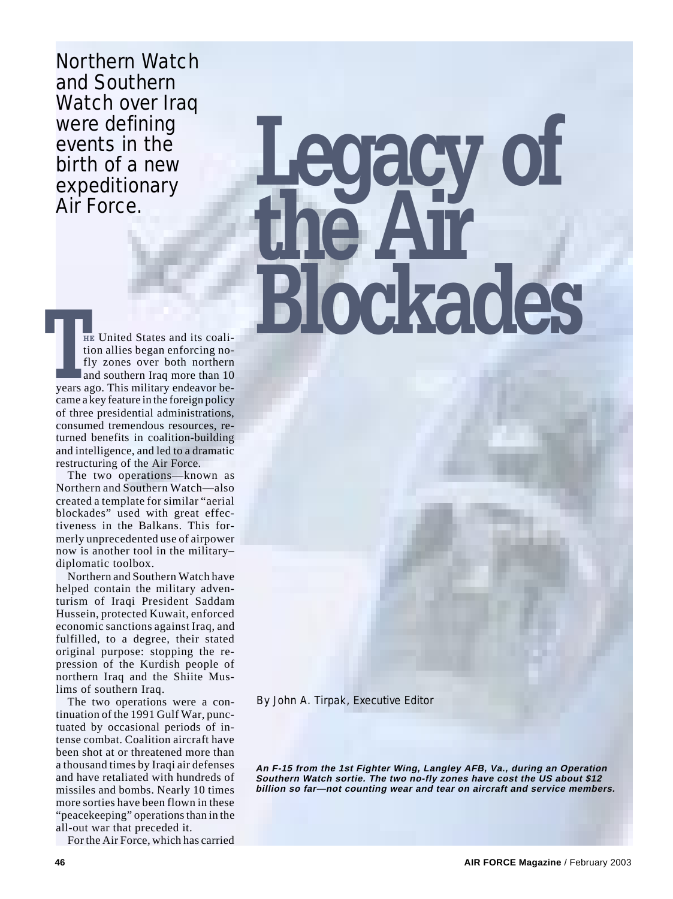Northern Watch and Southern Watch over Iraq were defining events in the birth of a new expeditionary Air Force.

# Legacy of the Air Blockades

THE United States and its coalition allies began enforcing no-<br>fly zones over both northern<br>and southern Iraq more than 10<br>years ago. This military endeavor betion allies began enforcing nofly zones over both northern and southern Iraq more than 10 came a key feature in the foreign policy of three presidential administrations, consumed tremendous resources, returned benefits in coalition-building and intelligence, and led to a dramatic restructuring of the Air Force.

The two operations—known as Northern and Southern Watch—also created a template for similar "aerial blockades" used with great effectiveness in the Balkans. This formerly unprecedented use of airpower now is another tool in the military– diplomatic toolbox.

Northern and Southern Watch have helped contain the military adventurism of Iraqi President Saddam Hussein, protected Kuwait, enforced economic sanctions against Iraq, and fulfilled, to a degree, their stated original purpose: stopping the repression of the Kurdish people of northern Iraq and the Shiite Muslims of southern Iraq.

The two operations were a continuation of the 1991 Gulf War, punctuated by occasional periods of intense combat. Coalition aircraft have been shot at or threatened more than a thousand times by Iraqi air defenses and have retaliated with hundreds of missiles and bombs. Nearly 10 times more sorties have been flown in these "peacekeeping" operations than in the all-out war that preceded it.

For the Air Force, which has carried

By John A. Tirpak, Executive Editor

**An F-15 from the 1st Fighter Wing, Langley AFB, Va., during an Operation Southern Watch sortie. The two no-fly zones have cost the US about \$12 billion so far—not counting wear and tear on aircraft and service members.**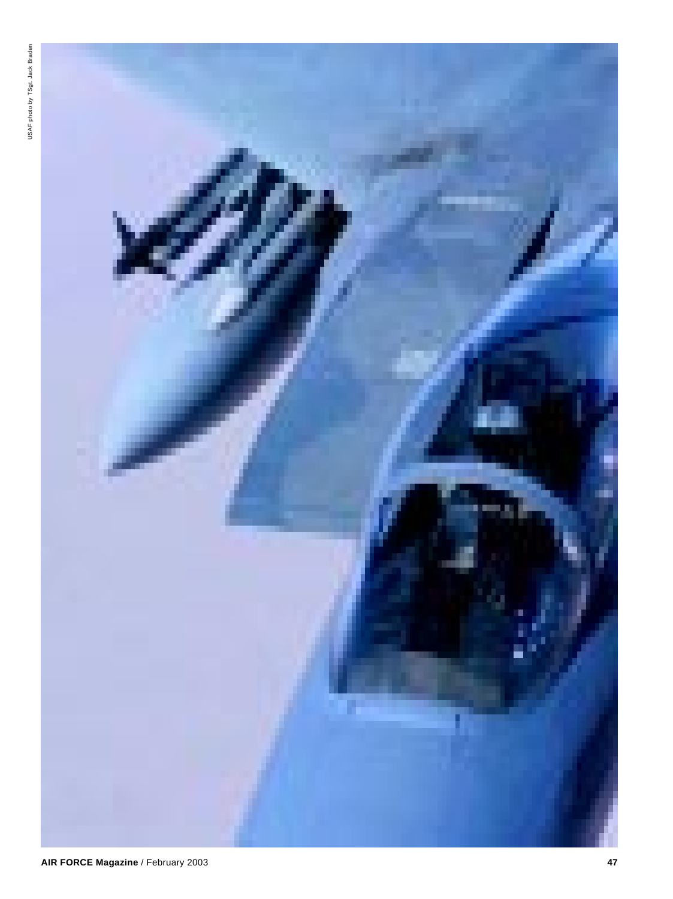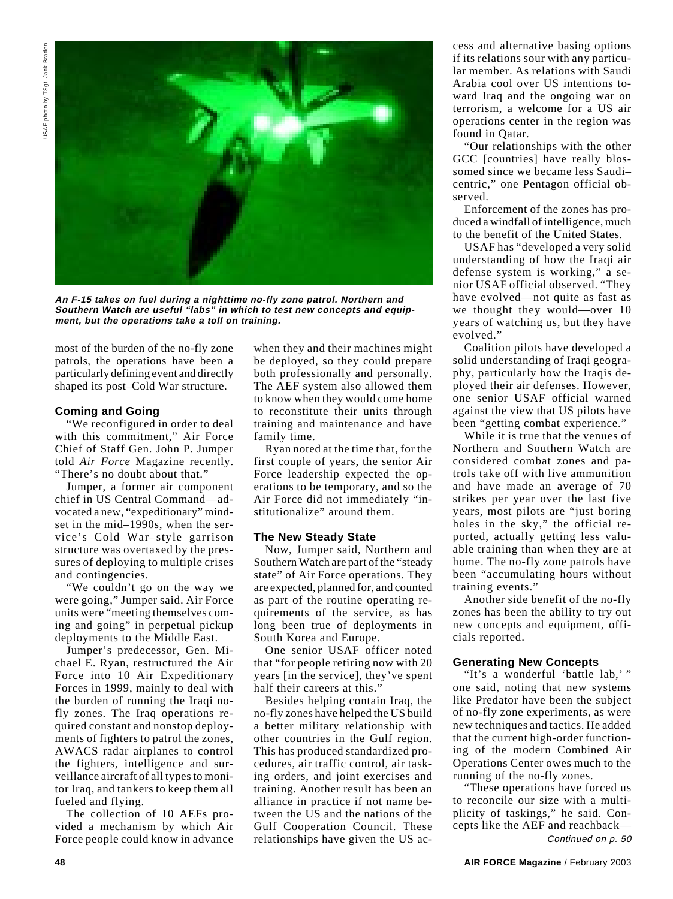

**An F-15 takes on fuel during a nighttime no-fly zone patrol. Northern and Southern Watch are useful "labs" in which to test new concepts and equipment, but the operations take a toll on training.**

most of the burden of the no-fly zone patrols, the operations have been a particularly defining event and directly shaped its post–Cold War structure.

# **Coming and Going**

"We reconfigured in order to deal with this commitment," Air Force Chief of Staff Gen. John P. Jumper told *Air Force* Magazine recently. "There's no doubt about that."

Jumper, a former air component chief in US Central Command—advocated a new, "expeditionary" mindset in the mid–1990s, when the service's Cold War–style garrison structure was overtaxed by the pressures of deploying to multiple crises and contingencies.

"We couldn't go on the way we were going," Jumper said. Air Force units were "meeting themselves coming and going" in perpetual pickup deployments to the Middle East.

Jumper's predecessor, Gen. Michael E. Ryan, restructured the Air Force into 10 Air Expeditionary Forces in 1999, mainly to deal with the burden of running the Iraqi nofly zones. The Iraq operations required constant and nonstop deployments of fighters to patrol the zones, AWACS radar airplanes to control the fighters, intelligence and surveillance aircraft of all types to monitor Iraq, and tankers to keep them all fueled and flying.

The collection of 10 AEFs provided a mechanism by which Air Force people could know in advance

when they and their machines might be deployed, so they could prepare both professionally and personally. The AEF system also allowed them to know when they would come home to reconstitute their units through training and maintenance and have family time.

Ryan noted at the time that, for the first couple of years, the senior Air Force leadership expected the operations to be temporary, and so the Air Force did not immediately "institutionalize" around them.

# **The New Steady State**

Now, Jumper said, Northern and Southern Watch are part of the "steady state" of Air Force operations. They are expected, planned for, and counted as part of the routine operating requirements of the service, as has long been true of deployments in South Korea and Europe.

One senior USAF officer noted that "for people retiring now with 20 years [in the service], they've spent half their careers at this."

Besides helping contain Iraq, the no-fly zones have helped the US build a better military relationship with other countries in the Gulf region. This has produced standardized procedures, air traffic control, air tasking orders, and joint exercises and training. Another result has been an alliance in practice if not name between the US and the nations of the Gulf Cooperation Council. These relationships have given the US access and alternative basing options if its relations sour with any particular member. As relations with Saudi Arabia cool over US intentions toward Iraq and the ongoing war on terrorism, a welcome for a US air operations center in the region was found in Qatar.

"Our relationships with the other GCC [countries] have really blossomed since we became less Saudi– centric," one Pentagon official observed.

Enforcement of the zones has produced a windfall of intelligence, much to the benefit of the United States.

USAF has "developed a very solid understanding of how the Iraqi air defense system is working," a senior USAF official observed. "They have evolved—not quite as fast as we thought they would—over 10 years of watching us, but they have evolved."

Coalition pilots have developed a solid understanding of Iraqi geography, particularly how the Iraqis deployed their air defenses. However, one senior USAF official warned against the view that US pilots have been "getting combat experience."

While it is true that the venues of Northern and Southern Watch are considered combat zones and patrols take off with live ammunition and have made an average of 70 strikes per year over the last five years, most pilots are "just boring holes in the sky," the official reported, actually getting less valuable training than when they are at home. The no-fly zone patrols have been "accumulating hours without training events."

Another side benefit of the no-fly zones has been the ability to try out new concepts and equipment, officials reported.

# **Generating New Concepts**

"It's a wonderful 'battle lab,' " one said, noting that new systems like Predator have been the subject of no-fly zone experiments, as were new techniques and tactics. He added that the current high-order functioning of the modern Combined Air Operations Center owes much to the running of the no-fly zones.

"These operations have forced us to reconcile our size with a multiplicity of taskings," he said. Concepts like the AEF and reachback— Continued on p. 50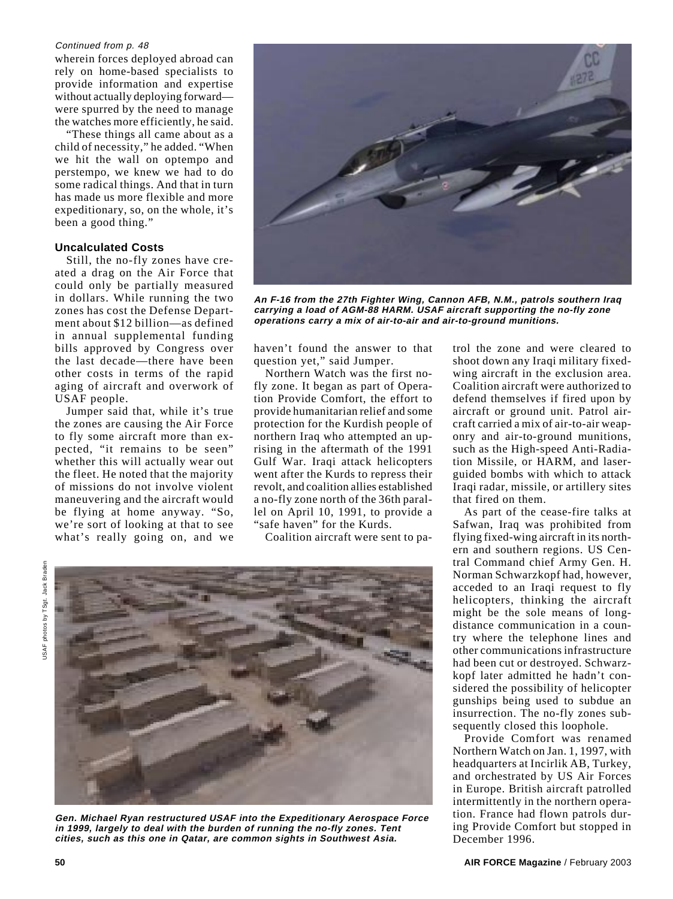### Continued from p. 48

wherein forces deployed abroad can rely on home-based specialists to provide information and expertise without actually deploying forward were spurred by the need to manage the watches more efficiently, he said.

"These things all came about as a child of necessity," he added. "When we hit the wall on optempo and perstempo, we knew we had to do some radical things. And that in turn has made us more flexible and more expeditionary, so, on the whole, it's been a good thing."

# **Uncalculated Costs**

Still, the no-fly zones have created a drag on the Air Force that could only be partially measured in dollars. While running the two zones has cost the Defense Department about \$12 billion—as defined in annual supplemental funding bills approved by Congress over the last decade—there have been other costs in terms of the rapid aging of aircraft and overwork of USAF people.

Jumper said that, while it's true the zones are causing the Air Force to fly some aircraft more than expected, "it remains to be seen" whether this will actually wear out the fleet. He noted that the majority of missions do not involve violent maneuvering and the aircraft would be flying at home anyway. "So, we're sort of looking at that to see what's really going on, and we



**An F-16 from the 27th Fighter Wing, Cannon AFB, N.M., patrols southern Iraq carrying a load of AGM-88 HARM. USAF aircraft supporting the no-fly zone operations carry a mix of air-to-air and air-to-ground munitions.**

haven't found the answer to that question yet," said Jumper.

Northern Watch was the first nofly zone. It began as part of Operation Provide Comfort, the effort to provide humanitarian relief and some protection for the Kurdish people of northern Iraq who attempted an uprising in the aftermath of the 1991 Gulf War. Iraqi attack helicopters went after the Kurds to repress their revolt, and coalition allies established a no-fly zone north of the 36th parallel on April 10, 1991, to provide a "safe haven" for the Kurds.

Coalition aircraft were sent to pa-

USAF photos by TSgt. Jack Braden Jack Brader TSgt. .<br>`ه photos **JSAF** 



**Gen. Michael Ryan restructured USAF into the Expeditionary Aerospace Force in 1999, largely to deal with the burden of running the no-fly zones. Tent cities, such as this one in Qatar, are common sights in Southwest Asia.**

trol the zone and were cleared to shoot down any Iraqi military fixedwing aircraft in the exclusion area. Coalition aircraft were authorized to defend themselves if fired upon by aircraft or ground unit. Patrol aircraft carried a mix of air-to-air weaponry and air-to-ground munitions, such as the High-speed Anti-Radiation Missile, or HARM, and laserguided bombs with which to attack Iraqi radar, missile, or artillery sites that fired on them.

As part of the cease-fire talks at Safwan, Iraq was prohibited from flying fixed-wing aircraft in its northern and southern regions. US Central Command chief Army Gen. H. Norman Schwarzkopf had, however, acceded to an Iraqi request to fly helicopters, thinking the aircraft might be the sole means of longdistance communication in a country where the telephone lines and other communications infrastructure had been cut or destroyed. Schwarzkopf later admitted he hadn't considered the possibility of helicopter gunships being used to subdue an insurrection. The no-fly zones subsequently closed this loophole.

Provide Comfort was renamed Northern Watch on Jan. 1, 1997, with headquarters at Incirlik AB, Turkey, and orchestrated by US Air Forces in Europe. British aircraft patrolled intermittently in the northern operation. France had flown patrols during Provide Comfort but stopped in December 1996.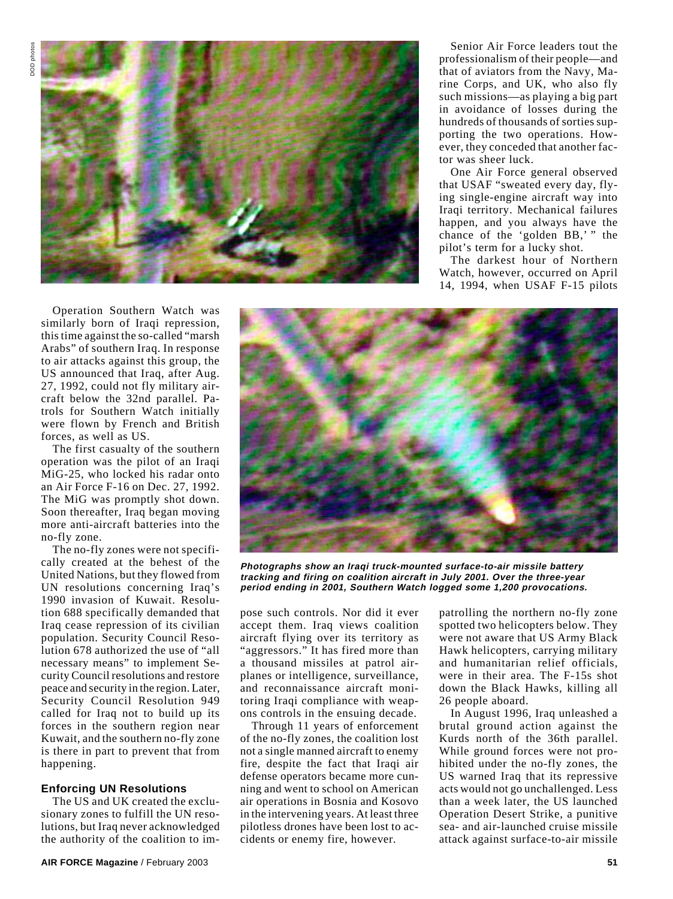

Senior Air Force leaders tout the professionalism of their people—and that of aviators from the Navy, Marine Corps, and UK, who also fly such missions—as playing a big part in avoidance of losses during the hundreds of thousands of sorties supporting the two operations. However, they conceded that another factor was sheer luck.

One Air Force general observed that USAF "sweated every day, flying single-engine aircraft way into Iraqi territory. Mechanical failures happen, and you always have the chance of the 'golden BB,' " the pilot's term for a lucky shot.

The darkest hour of Northern Watch, however, occurred on April 14, 1994, when USAF F-15 pilots

Operation Southern Watch was similarly born of Iraqi repression, this time against the so-called "marsh Arabs" of southern Iraq. In response to air attacks against this group, the US announced that Iraq, after Aug. 27, 1992, could not fly military aircraft below the 32nd parallel. Patrols for Southern Watch initially were flown by French and British forces, as well as US.

The first casualty of the southern operation was the pilot of an Iraqi MiG-25, who locked his radar onto an Air Force F-16 on Dec. 27, 1992. The MiG was promptly shot down. Soon thereafter, Iraq began moving more anti-aircraft batteries into the no-fly zone.

The no-fly zones were not specifically created at the behest of the United Nations, but they flowed from UN resolutions concerning Iraq's 1990 invasion of Kuwait. Resolution 688 specifically demanded that Iraq cease repression of its civilian population. Security Council Resolution 678 authorized the use of "all necessary means" to implement Security Council resolutions and restore peace and security in the region. Later, Security Council Resolution 949 called for Iraq not to build up its forces in the southern region near Kuwait, and the southern no-fly zone is there in part to prevent that from happening.

# **Enforcing UN Resolutions**

The US and UK created the exclusionary zones to fulfill the UN resolutions, but Iraq never acknowledged the authority of the coalition to im-



**Photographs show an Iraqi truck-mounted surface-to-air missile battery tracking and firing on coalition aircraft in July 2001. Over the three-year period ending in 2001, Southern Watch logged some 1,200 provocations.**

pose such controls. Nor did it ever accept them. Iraq views coalition aircraft flying over its territory as "aggressors." It has fired more than a thousand missiles at patrol airplanes or intelligence, surveillance, and reconnaissance aircraft monitoring Iraqi compliance with weapons controls in the ensuing decade.

Through 11 years of enforcement of the no-fly zones, the coalition lost not a single manned aircraft to enemy fire, despite the fact that Iraqi air defense operators became more cunning and went to school on American air operations in Bosnia and Kosovo in the intervening years. At least three pilotless drones have been lost to accidents or enemy fire, however.

patrolling the northern no-fly zone spotted two helicopters below. They were not aware that US Army Black Hawk helicopters, carrying military and humanitarian relief officials, were in their area. The F-15s shot down the Black Hawks, killing all 26 people aboard.

In August 1996, Iraq unleashed a brutal ground action against the Kurds north of the 36th parallel. While ground forces were not prohibited under the no-fly zones, the US warned Iraq that its repressive acts would not go unchallenged. Less than a week later, the US launched Operation Desert Strike, a punitive sea- and air-launched cruise missile attack against surface-to-air missile